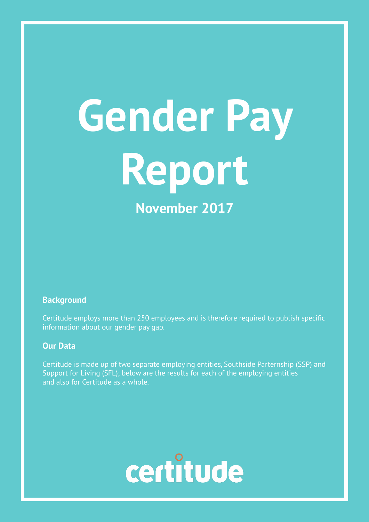# **Gender Pay Report November 2017**

#### **Background**

Certitude employs more than 250 employees and is therefore required to publish specific information about our gender pay gap.

#### **Our Data**

Certitude is made up of two separate employing entities, Southside Parternship (SSP) and Support for Living (SFL); below are the results for each of the employing entities and also for Certitude as a whole.

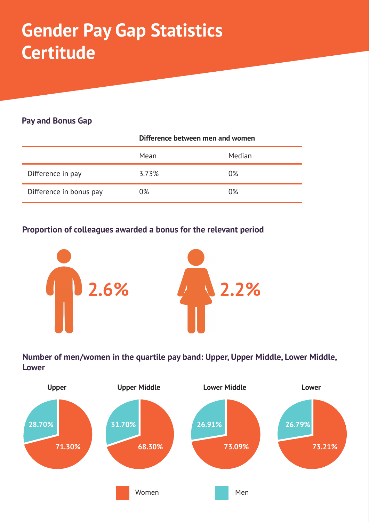### **Gender Pay Gap Statistics Certitude**

#### **Pay and Bonus Gap**

|                         | Difference between men and women |        |
|-------------------------|----------------------------------|--------|
|                         | Mean                             | Median |
| Difference in pay       | 3.73%                            | 0%     |
| Difference in bonus pay | 0%                               | 0%     |

#### **Proportion of colleagues awarded a bonus for the relevant period**



**Number of men/women in the quartile pay band: Upper, Upper Middle, Lower Middle, Lower**

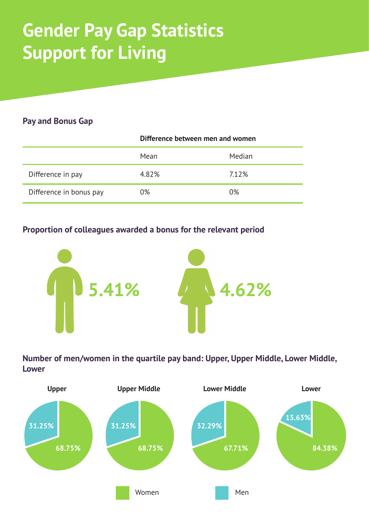### **Gender Pay Gap Statistics Support for Living**

#### **Pay and Bonus Gap**

|                         | Difference between men and women |        |
|-------------------------|----------------------------------|--------|
|                         | Mean                             | Median |
| Difference in pay       | 4.82%                            | 7.12%  |
| Difference in bonus pay | 0%                               | 0%     |

#### **Proportion of colleagues awarded a bonus for the relevant period**



**Number of men/women in the quartile pay band: Upper, Upper Middle, Lower Middle, Lower**

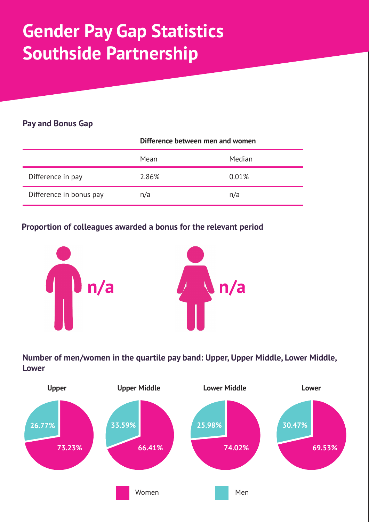## **Gender Pay Gap Statistics Southside Partnership**

#### **Pay and Bonus Gap**

|                         | Difference between men and women |        |
|-------------------------|----------------------------------|--------|
|                         | Mean                             | Median |
| Difference in pay       | 2.86%                            | 0.01%  |
| Difference in bonus pay | n/a                              | n/a    |

#### **Proportion of colleagues awarded a bonus for the relevant period**



**Number of men/women in the quartile pay band: Upper, Upper Middle, Lower Middle, Lower**